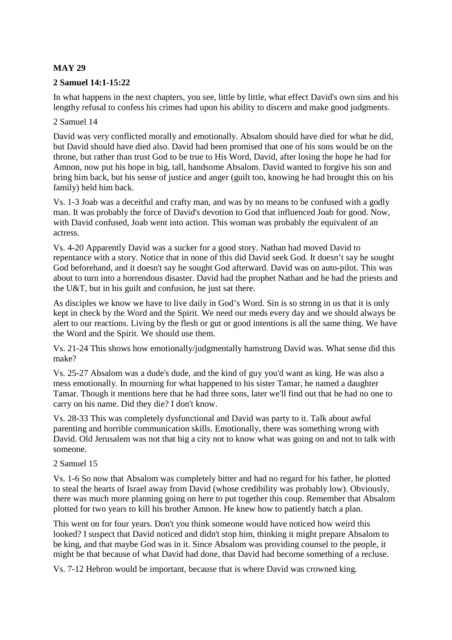# **MAY 29**

### **2 Samuel 14:1-15:22**

In what happens in the next chapters, you see, little by little, what effect David's own sins and his lengthy refusal to confess his crimes had upon his ability to discern and make good judgments.

### 2 Samuel 14

David was very conflicted morally and emotionally. Absalom should have died for what he did, but David should have died also. David had been promised that one of his sons would be on the throne, but rather than trust God to be true to His Word, David, after losing the hope he had for Amnon, now put his hope in big, tall, handsome Absalom. David wanted to forgive his son and bring him back, but his sense of justice and anger (guilt too, knowing he had brought this on his family) held him back.

Vs. 1-3 Joab was a deceitful and crafty man, and was by no means to be confused with a godly man. It was probably the force of David's devotion to God that influenced Joab for good. Now, with David confused, Joab went into action. This woman was probably the equivalent of an actress.

Vs. 4-20 Apparently David was a sucker for a good story. Nathan had moved David to repentance with a story. Notice that in none of this did David seek God. It doesn't say he sought God beforehand, and it doesn't say he sought God afterward. David was on auto-pilot. This was about to turn into a horrendous disaster. David had the prophet Nathan and he had the priests and the U&T, but in his guilt and confusion, he just sat there.

As disciples we know we have to live daily in God's Word. Sin is so strong in us that it is only kept in check by the Word and the Spirit. We need our meds every day and we should always be alert to our reactions. Living by the flesh or gut or good intentions is all the same thing. We have the Word and the Spirit. We should use them.

Vs. 21-24 This shows how emotionally/judgmentally hamstrung David was. What sense did this make?

Vs. 25-27 Absalom was a dude's dude, and the kind of guy you'd want as king. He was also a mess emotionally. In mourning for what happened to his sister Tamar, he named a daughter Tamar. Though it mentions here that he had three sons, later we'll find out that he had no one to carry on his name. Did they die? I don't know.

Vs. 28-33 This was completely dysfunctional and David was party to it. Talk about awful parenting and horrible communication skills. Emotionally, there was something wrong with David. Old Jerusalem was not that big a city not to know what was going on and not to talk with someone.

#### 2 Samuel 15

Vs. 1-6 So now that Absalom was completely bitter and had no regard for his father, he plotted to steal the hearts of Israel away from David (whose credibility was probably low). Obviously, there was much more planning going on here to put together this coup. Remember that Absalom plotted for two years to kill his brother Amnon. He knew how to patiently hatch a plan.

This went on for four years. Don't you think someone would have noticed how weird this looked? I suspect that David noticed and didn't stop him, thinking it might prepare Absalom to be king, and that maybe God was in it. Since Absalom was providing counsel to the people, it might be that because of what David had done, that David had become something of a recluse.

Vs. 7-12 Hebron would be important, because that is where David was crowned king.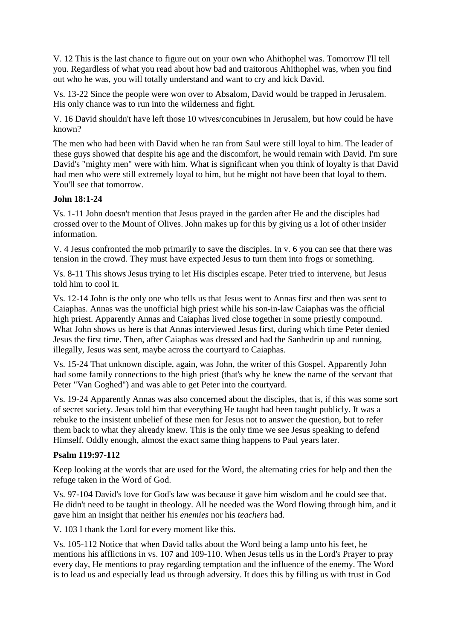V. 12 This is the last chance to figure out on your own who Ahithophel was. Tomorrow I'll tell you. Regardless of what you read about how bad and traitorous Ahithophel was, when you find out who he was, you will totally understand and want to cry and kick David.

Vs. 13-22 Since the people were won over to Absalom, David would be trapped in Jerusalem. His only chance was to run into the wilderness and fight.

V. 16 David shouldn't have left those 10 wives/concubines in Jerusalem, but how could he have known?

The men who had been with David when he ran from Saul were still loyal to him. The leader of these guys showed that despite his age and the discomfort, he would remain with David. I'm sure David's "mighty men" were with him. What is significant when you think of loyalty is that David had men who were still extremely loyal to him, but he might not have been that loyal to them. You'll see that tomorrow.

## **John 18:1-24**

Vs. 1-11 John doesn't mention that Jesus prayed in the garden after He and the disciples had crossed over to the Mount of Olives. John makes up for this by giving us a lot of other insider information.

V. 4 Jesus confronted the mob primarily to save the disciples. In v. 6 you can see that there was tension in the crowd. They must have expected Jesus to turn them into frogs or something.

Vs. 8-11 This shows Jesus trying to let His disciples escape. Peter tried to intervene, but Jesus told him to cool it.

Vs. 12-14 John is the only one who tells us that Jesus went to Annas first and then was sent to Caiaphas. Annas was the unofficial high priest while his son-in-law Caiaphas was the official high priest. Apparently Annas and Caiaphas lived close together in some priestly compound. What John shows us here is that Annas interviewed Jesus first, during which time Peter denied Jesus the first time. Then, after Caiaphas was dressed and had the Sanhedrin up and running, illegally, Jesus was sent, maybe across the courtyard to Caiaphas.

Vs. 15-24 That unknown disciple, again, was John, the writer of this Gospel. Apparently John had some family connections to the high priest (that's why he knew the name of the servant that Peter "Van Goghed") and was able to get Peter into the courtyard.

Vs. 19-24 Apparently Annas was also concerned about the disciples, that is, if this was some sort of secret society. Jesus told him that everything He taught had been taught publicly. It was a rebuke to the insistent unbelief of these men for Jesus not to answer the question, but to refer them back to what they already knew. This is the only time we see Jesus speaking to defend Himself. Oddly enough, almost the exact same thing happens to Paul years later.

#### **Psalm 119:97-112**

Keep looking at the words that are used for the Word, the alternating cries for help and then the refuge taken in the Word of God.

Vs. 97-104 David's love for God's law was because it gave him wisdom and he could see that. He didn't need to be taught in theology. All he needed was the Word flowing through him, and it gave him an insight that neither his *enemies* nor his *teachers* had.

V. 103 I thank the Lord for every moment like this.

Vs. 105-112 Notice that when David talks about the Word being a lamp unto his feet, he mentions his afflictions in vs. 107 and 109-110. When Jesus tells us in the Lord's Prayer to pray every day, He mentions to pray regarding temptation and the influence of the enemy. The Word is to lead us and especially lead us through adversity. It does this by filling us with trust in God